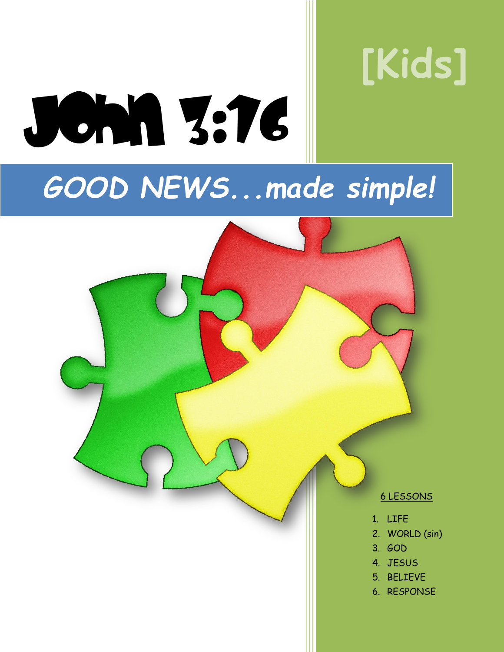# **[Kids]**

# *GOOD NEWS...made simple!*

John 3:16

6 LESSONS

- 1. LIFE
- 2. WORLD (sin)
- 3. GOD
- 4. JESUS
- 5. BELIEVE
- 6. RESPONSE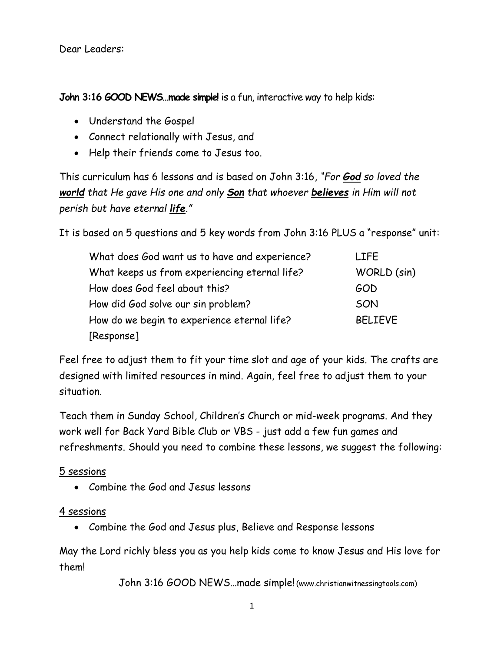Dear Leaders:

**John 3:16 GOOD NEWS…made simple!** is a fun, interactive way to help kids:

- Understand the Gospel
- Connect relationally with Jesus, and
- Help their friends come to Jesus too.

This curriculum has 6 lessons and is based on John 3:16, *"For God so loved the world that He gave His one and only Son that whoever believes in Him will not perish but have eternal life."*

It is based on 5 questions and 5 key words from John 3:16 PLUS a "response" unit:

| What does God want us to have and experience? | <b>LIFE</b>    |
|-----------------------------------------------|----------------|
| What keeps us from experiencing eternal life? | WORLD (sin)    |
| How does God feel about this?                 | GOD            |
| How did God solve our sin problem?            | SON            |
| How do we begin to experience eternal life?   | <b>BELIEVE</b> |
| [Response]                                    |                |

Feel free to adjust them to fit your time slot and age of your kids. The crafts are designed with limited resources in mind. Again, feel free to adjust them to your situation.

Teach them in Sunday School, Children's Church or mid-week programs. And they work well for Back Yard Bible Club or VBS - just add a few fun games and refreshments. Should you need to combine these lessons, we suggest the following:

5 sessions

Combine the God and Jesus lessons

4 sessions

Combine the God and Jesus plus, Believe and Response lessons

May the Lord richly bless you as you help kids come to know Jesus and His love for them!

John 3:16 GOOD NEWS…made simple! (www.christianwitnessingtools.com)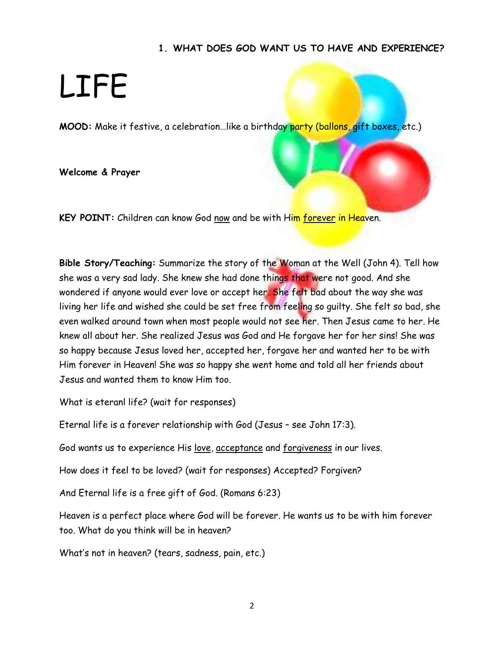### **1. WHAT DOES GOD WANT US TO HAVE AND EXPERIENCE?**

### LIFE

**MOOD:** Make it festive, a celebration…like a birthday party (ballons, gift boxes, etc.)

**Welcome & Prayer**

**KEY POINT:** Children can know God now and be with Him forever in Heaven.

**Bible Story/Teaching:** Summarize the story of the Woman at the Well (John 4). Tell how she was a very sad lady. She knew she had done things that were not good. And she wondered if anyone would ever love or accept her. She felt bad about the way she was living her life and wished she could be set free from feeling so guilty. She felt so bad, she even walked around town when most people would not see her. Then Jesus came to her. He knew all about her. She realized Jesus was God and He forgave her for her sins! She was so happy because Jesus loved her, accepted her, forgave her and wanted her to be with Him forever in Heaven! She was so happy she went home and told all her friends about Jesus and wanted them to know Him too.

What is eteranl life? (wait for responses)

Eternal life is a forever relationship with God (Jesus – see John 17:3).

God wants us to experience His love, acceptance and forgiveness in our lives.

How does it feel to be loved? (wait for responses) Accepted? Forgiven?

And Eternal life is a free gift of God. (Romans 6:23)

Heaven is a perfect place where God will be forever. He wants us to be with him forever too. What do you think will be in heaven?

What's not in heaven? (tears, sadness, pain, etc.)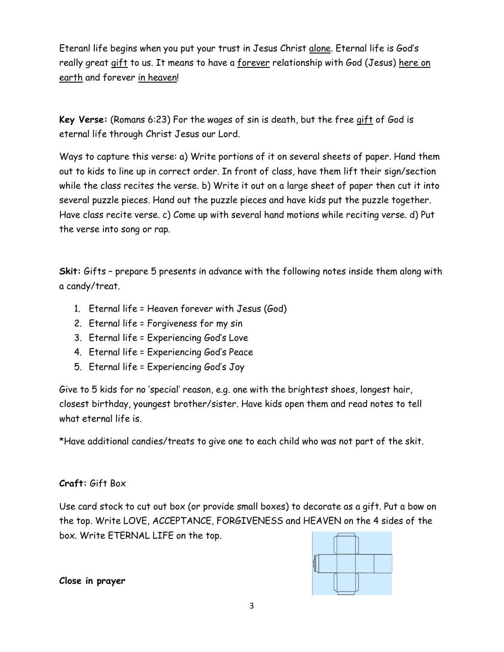Eteranl life begins when you put your trust in Jesus Christ alone. Eternal life is God's really great gift to us. It means to have a <u>forever</u> relationship with God (Jesus) <u>here on</u> earth and forever in heaven!

**Key Verse:** (Romans 6:23) For the wages of sin is death, but the free gift of God is eternal life through Christ Jesus our Lord.

Ways to capture this verse: a) Write portions of it on several sheets of paper. Hand them out to kids to line up in correct order. In front of class, have them lift their sign/section while the class recites the verse. b) Write it out on a large sheet of paper then cut it into several puzzle pieces. Hand out the puzzle pieces and have kids put the puzzle together. Have class recite verse. c) Come up with several hand motions while reciting verse. d) Put the verse into song or rap.

**Skit:** Gifts – prepare 5 presents in advance with the following notes inside them along with a candy/treat.

- 1. Eternal life = Heaven forever with Jesus (God)
- 2. Eternal life = Forgiveness for my sin
- 3. Eternal life = Experiencing God's Love
- 4. Eternal life = Experiencing God's Peace
- 5. Eternal life = Experiencing God's Joy

Give to 5 kids for no 'special' reason, e.g. one with the brightest shoes, longest hair, closest birthday, youngest brother/sister. Have kids open them and read notes to tell what eternal life is.

\*Have additional candies/treats to give one to each child who was not part of the skit.

### **Craft:** Gift Box

Use card stock to cut out box (or provide small boxes) to decorate as a gift. Put a bow on the top. Write LOVE, ACCEPTANCE, FORGIVENESS and HEAVEN on the 4 sides of the box. Write ETERNAL LIFE on the top.

| _______<br>---- |  |
|-----------------|--|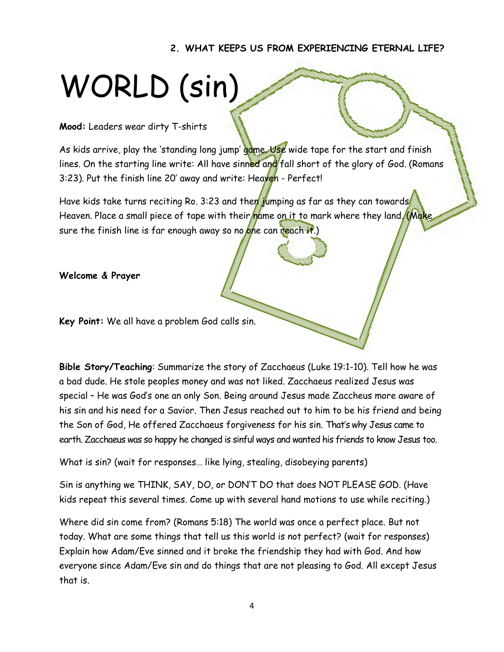**2. WHAT KEEPS US FROM EXPERIENCING ETERNAL LIFE?**

## WORLD (sin)

### **Mood:** Leaders wear dirty T-shirts

As kids arrive, play the 'standing long jump' game. Use wide tape for the start and finish lines. On the starting line write: All have sinned and fall short of the glory of God. (Romans 3:23). Put the finish line 20' away and write: Heaven - Perfect!

Have kids take turns reciting Ro. 3:23 and then jumping as far as they can towards Heaven. Place a small piece of tape with their name on it to mark where they land. (Make, sure the finish line is far enough away so no one can reach it.)

**Welcome & Prayer**

**Key Point:** We all have a problem God calls sin.

**Bible Story/Teaching**: Summarize the story of Zacchaeus (Luke 19:1-10). Tell how he was a bad dude. He stole peoples money and was not liked. Zacchaeus realized Jesus was special – He was God's one an only Son. Being around Jesus made Zaccheus more aware of his sin and his need for a Savior. Then Jesus reached out to him to be his friend and being the Son of God, He offered Zacchaeus forgiveness for his sin. That's why Jesus came to earth. Zacchaeus was so happy he changed is sinful ways and wanted his friends to know Jesus too.

What is sin? (wait for responses… like lying, stealing, disobeying parents)

Sin is anything we THINK, SAY, DO, or DON'T DO that does NOT PLEASE GOD. (Have kids repeat this several times. Come up with several hand motions to use while reciting.)

Where did sin come from? (Romans 5:18) The world was once a perfect place. But not today. What are some things that tell us this world is not perfect? (wait for responses) Explain how Adam/Eve sinned and it broke the friendship they had with God. And how everyone since Adam/Eve sin and do things that are not pleasing to God. All except Jesus that is.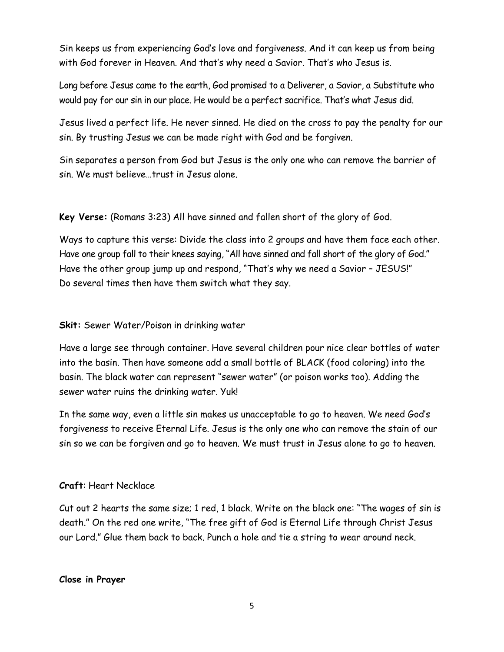Sin keeps us from experiencing God's love and forgiveness. And it can keep us from being with God forever in Heaven. And that's why need a Savior. That's who Jesus is.

Long before Jesus came to the earth, God promised to a Deliverer, a Savior, a Substitute who would pay for our sin in our place. He would be a perfect sacrifice. That's what Jesus did.

Jesus lived a perfect life. He never sinned. He died on the cross to pay the penalty for our sin. By trusting Jesus we can be made right with God and be forgiven.

Sin separates a person from God but Jesus is the only one who can remove the barrier of sin. We must believe…trust in Jesus alone.

**Key Verse:** (Romans 3:23) All have sinned and fallen short of the glory of God.

Ways to capture this verse: Divide the class into 2 groups and have them face each other. Have one group fall to their knees saying, "All have sinned and fall short of the glory of God." Have the other group jump up and respond, "That's why we need a Savior – JESUS!" Do several times then have them switch what they say.

### **Skit:** Sewer Water/Poison in drinking water

Have a large see through container. Have several children pour nice clear bottles of water into the basin. Then have someone add a small bottle of BLACK (food coloring) into the basin. The black water can represent "sewer water" (or poison works too). Adding the sewer water ruins the drinking water. Yuk!

In the same way, even a little sin makes us unacceptable to go to heaven. We need God's forgiveness to receive Eternal Life. Jesus is the only one who can remove the stain of our sin so we can be forgiven and go to heaven. We must trust in Jesus alone to go to heaven.

### **Craft**: Heart Necklace

Cut out 2 hearts the same size; 1 red, 1 black. Write on the black one: "The wages of sin is death." On the red one write, "The free gift of God is Eternal Life through Christ Jesus our Lord." Glue them back to back. Punch a hole and tie a string to wear around neck.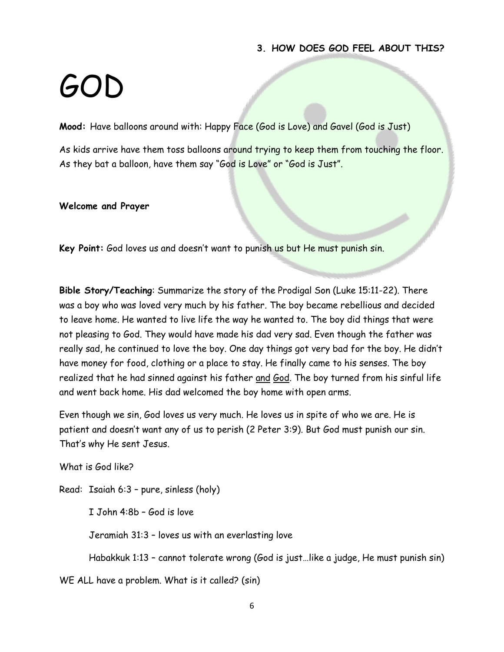#### **3. HOW DOES GOD FEEL ABOUT THIS?**

### $G($

**Mood:** Have balloons around with: Happy Face (God is Love) and Gavel (God is Just)

As kids arrive have them toss balloons around trying to keep them from touching the floor. As they bat a balloon, have them say "God is Love" or "God is Just".

#### **Welcome and Prayer**

**Key Point:** God loves us and doesn't want to punish us but He must punish sin.

**Bible Story/Teaching**: Summarize the story of the Prodigal Son (Luke 15:11-22). There was a boy who was loved very much by his father. The boy became rebellious and decided to leave home. He wanted to live life the way he wanted to. The boy did things that were not pleasing to God. They would have made his dad very sad. Even though the father was really sad, he continued to love the boy. One day things got very bad for the boy. He didn't have money for food, clothing or a place to stay. He finally came to his senses. The boy realized that he had sinned against his father and God. The boy turned from his sinful life and went back home. His dad welcomed the boy home with open arms.

Even though we sin, God loves us very much. He loves us in spite of who we are. He is patient and doesn't want any of us to perish (2 Peter 3:9). But God must punish our sin. That's why He sent Jesus.

What is God like?

Read: Isaiah 6:3 – pure, sinless (holy)

I John 4:8b – God is love

Jeramiah 31:3 – loves us with an everlasting love

Habakkuk 1:13 – cannot tolerate wrong (God is just…like a judge, He must punish sin)

WE ALL have a problem. What is it called? (sin)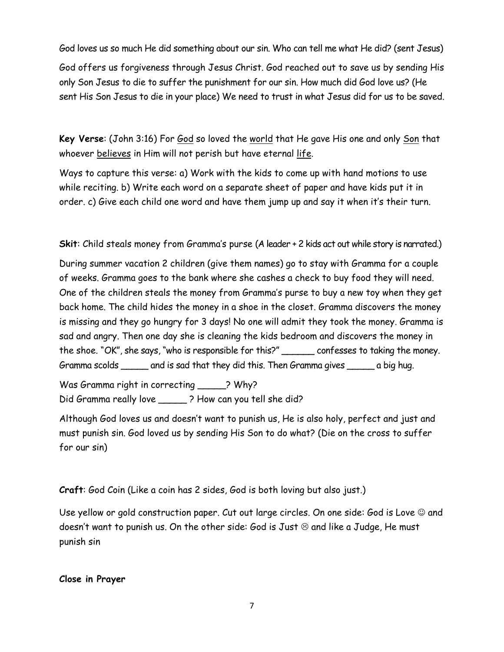God loves us so much He did something about our sin. Who can tell me what He did? (sent Jesus)

God offers us forgiveness through Jesus Christ. God reached out to save us by sending His only Son Jesus to die to suffer the punishment for our sin. How much did God love us? (He sent His Son Jesus to die in your place) We need to trust in what Jesus did for us to be saved.

**Key Verse**: (John 3:16) For God so loved the world that He gave His one and only Son that whoever believes in Him will not perish but have eternal life.

Ways to capture this verse: a) Work with the kids to come up with hand motions to use while reciting. b) Write each word on a separate sheet of paper and have kids put it in order. c) Give each child one word and have them jump up and say it when it's their turn.

**Skit**: Child steals money from Gramma's purse (A leader + 2 kids act out while story is narrated.)

During summer vacation 2 children (give them names) go to stay with Gramma for a couple of weeks. Gramma goes to the bank where she cashes a check to buy food they will need. One of the children steals the money from Gramma's purse to buy a new toy when they get back home. The child hides the money in a shoe in the closet. Gramma discovers the money is missing and they go hungry for 3 days! No one will admit they took the money. Gramma is sad and angry. Then one day she is cleaning the kids bedroom and discovers the money in the shoe. "OK", she says, "who is responsible for this?" \_\_\_\_\_\_ confesses to taking the money. Gramma scolds \_\_\_\_\_ and is sad that they did this. Then Gramma gives \_\_\_\_\_ a big hug.

Was Gramma right in correcting \_\_\_\_\_? Why? Did Gramma really love \_\_\_\_\_ ? How can you tell she did?

Although God loves us and doesn't want to punish us, He is also holy, perfect and just and must punish sin. God loved us by sending His Son to do what? (Die on the cross to suffer for our sin)

**Craft**: God Coin (Like a coin has 2 sides, God is both loving but also just.)

Use yellow or gold construction paper. Cut out large circles. On one side: God is Love  $\odot$  and doesn't want to punish us. On the other side: God is Just  $\odot$  and like a Judge, He must punish sin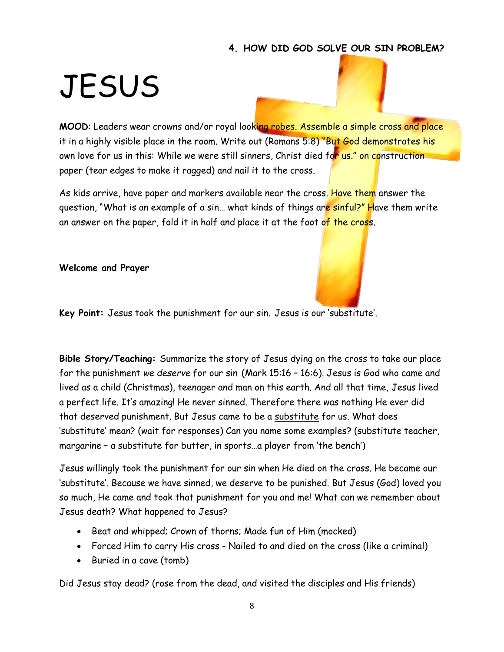### **4. HOW DID GOD SOLVE OUR SIN PROBLEM?**

### **JESUS**

**MOOD:** Leaders wear crowns and/or royal looking robes. Assemble a simple cross and place it in a highly visible place in the room. Write out (Romans 5:8) "But God demonstrates his own love for us in this: While we were still sinners, Christ died for us," on construction paper (tear edges to make it ragged) and nail it to the cross.

As kids arrive, have paper and markers available near the cross. Have them answer the question, "What is an example of a sin... what kinds of things are sinful?" Have them write an answer on the paper, fold it in half and place it at the foot of the cross.

**Welcome and Prayer**



**Key Point:** Jesus took the punishment for our sin. Jesus is our 'substitute'.

**Bible Story/Teaching:** Summarize the story of Jesus dying on the cross to take our place for the punishment *we deserve* for our sin (Mark 15:16 – 16:6). Jesus is God who came and lived as a child (Christmas), teenager and man on this earth. And all that time, Jesus lived a perfect life. It's amazing! He never sinned. Therefore there was nothing He ever did that deserved punishment. But Jesus came to be a substitute for us. What does 'substitute' mean? (wait for responses) Can you name some examples? (substitute teacher, margarine – a substitute for butter, in sports…a player from 'the bench')

Jesus willingly took the punishment for our sin when He died on the cross. He became our 'substitute'. Because we have sinned, we deserve to be punished. But Jesus (God) loved you so much, He came and took that punishment for you and me! What can we remember about Jesus death? What happened to Jesus?

- Beat and whipped; Crown of thorns; Made fun of Him (mocked)
- Forced Him to carry His cross Nailed to and died on the cross (like a criminal)
- Buried in a cave (tomb)

Did Jesus stay dead? (rose from the dead, and visited the disciples and His friends)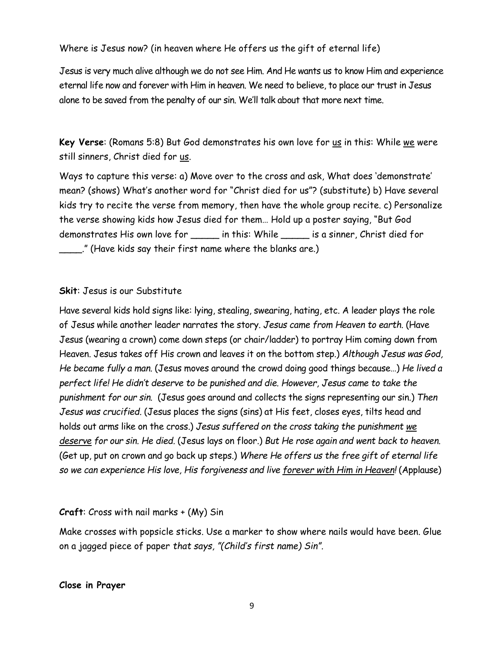Where is Jesus now? (in heaven where He offers us the gift of eternal life)

Jesus is very much alive although we do not see Him. And He wants us to know Him and experience eternal life now and forever with Him in heaven. We need to believe, to place our trust in Jesus alone to be saved from the penalty of our sin. We'll talk about that more next time.

**Key Verse**: (Romans 5:8) But God demonstrates his own love for us in this: While we were still sinners, Christ died for us.

Ways to capture this verse: a) Move over to the cross and ask, What does 'demonstrate' mean? (shows) What's another word for "Christ died for us"? (substitute) b) Have several kids try to recite the verse from memory, then have the whole group recite. c) Personalize the verse showing kids how Jesus died for them… Hold up a poster saying, "But God demonstrates His own love for \_\_\_\_\_ in this: While \_\_\_\_\_ is a sinner, Christ died for \_\_\_\_." (Have kids say their first name where the blanks are.)

### **Skit**: Jesus is our Substitute

Have several kids hold signs like: lying, stealing, swearing, hating, etc. A leader plays the role of Jesus while another leader narrates the story. *Jesus came from Heaven to earth.* (Have Jesus (wearing a crown) come down steps (or chair/ladder) to portray Him coming down from Heaven. Jesus takes off His crown and leaves it on the bottom step.) *Although Jesus was God, He became fully a man.* (Jesus moves around the crowd doing good things because…) *He lived a perfect life! He didn't deserve to be punished and die. However, Jesus came to take the punishment for our sin.* (Jesus goes around and collects the signs representing our sin.) *Then Jesus was crucified.* (Jesus places the signs (sins) at His feet, closes eyes, tilts head and holds out arms like on the cross.) *Jesus suffered on the cross taking the punishment we deserve for our sin. He died.* (Jesus lays on floor.) *But He rose again and went back to heaven.* (Get up, put on crown and go back up steps.) *Where He offers us the free gift of eternal life so we can experience His love, His forgiveness and live forever with Him in Heaven!* (Applause)

### **Craft**: Cross with nail marks + (My) Sin

Make crosses with popsicle sticks. Use a marker to show where nails would have been. Glue on a jagged piece of paper *that says, "(Child's first name) Sin".*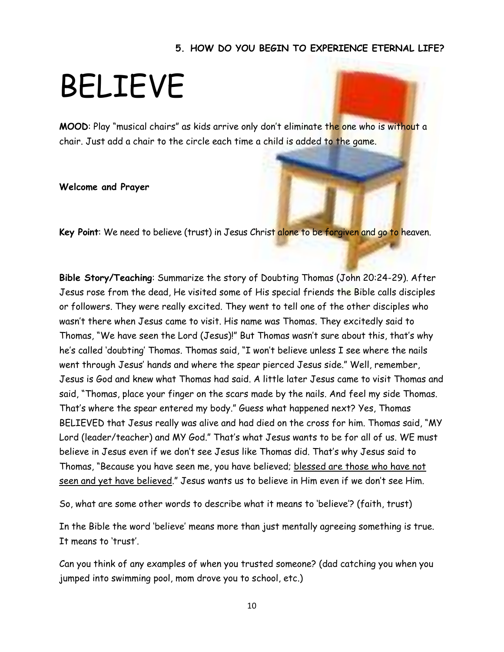#### **5. HOW DO YOU BEGIN TO EXPERIENCE ETERNAL LIFE?**

### BELIEVE

**MOOD**: Play "musical chairs" as kids arrive only don't eliminate the one who is without a chair. Just add a chair to the circle each time a child is added to the game.

#### **Welcome and Prayer**

**Key Point**: We need to believe (trust) in Jesus Christ alone to be forgiven and go to heaven.

**Bible Story/Teaching**: Summarize the story of Doubting Thomas (John 20:24-29). After Jesus rose from the dead, He visited some of His special friends the Bible calls disciples or followers. They were really excited. They went to tell one of the other disciples who wasn't there when Jesus came to visit. His name was Thomas. They excitedly said to Thomas, "We have seen the Lord (Jesus)!" But Thomas wasn't sure about this, that's why he's called 'doubting' Thomas. Thomas said, "I won't believe unless I see where the nails went through Jesus' hands and where the spear pierced Jesus side." Well, remember, Jesus is God and knew what Thomas had said. A little later Jesus came to visit Thomas and said, "Thomas, place your finger on the scars made by the nails. And feel my side Thomas. That's where the spear entered my body." Guess what happened next? Yes, Thomas BELIEVED that Jesus really was alive and had died on the cross for him. Thomas said, "MY Lord (leader/teacher) and MY God." That's what Jesus wants to be for all of us. WE must believe in Jesus even if we don't see Jesus like Thomas did. That's why Jesus said to Thomas, "Because you have seen me, you have believed; blessed are those who have not seen and yet have believed." Jesus wants us to believe in Him even if we don't see Him.

So, what are some other words to describe what it means to 'believe'? (faith, trust)

In the Bible the word 'believe' means more than just mentally agreeing something is true. It means to 'trust'.

Can you think of any examples of when you trusted someone? (dad catching you when you jumped into swimming pool, mom drove you to school, etc.)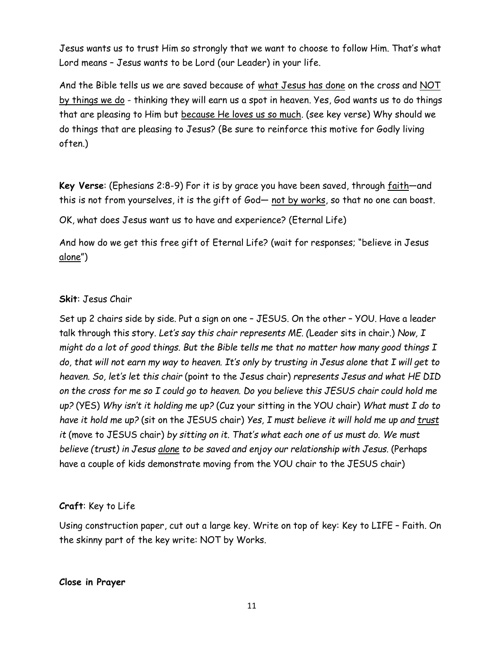Jesus wants us to trust Him so strongly that we want to choose to follow Him. That's what Lord means – Jesus wants to be Lord (our Leader) in your life.

And the Bible tells us we are saved because of what Jesus has done on the cross and NOT by things we do - thinking they will earn us a spot in heaven. Yes, God wants us to do things that are pleasing to Him but because He loves us so much. (see key verse) Why should we do things that are pleasing to Jesus? (Be sure to reinforce this motive for Godly living often.)

**Key Verse**: (Ephesians 2:8-9) For it is by grace you have been saved, through faith—and this is not from yourselves, it is the gift of God— not by works, so that no one can boast.

OK, what does Jesus want us to have and experience? (Eternal Life)

And how do we get this free gift of Eternal Life? (wait for responses; "believe in Jesus alone")

### **Skit**: Jesus Chair

Set up 2 chairs side by side. Put a sign on one – JESUS. On the other – YOU. Have a leader talk through this story. *Let's say this chair represents ME. (*Leader sits in chair.) *Now, I might do a lot of good things. But the Bible tells me that no matter how many good things I do, that will not earn my way to heaven. It's only by trusting in Jesus alone that I will get to heaven. So, let's let this chair* (point to the Jesus chair) *represents Jesus and what HE DID on the cross for me so I could go to heaven. Do you believe this JESUS chair could hold me up?* (YES) *Why isn't it holding me up?* (Cuz your sitting in the YOU chair) *What must I do to have it hold me up?* (sit on the JESUS chair) *Yes, I must believe it will hold me up and trust it* (move to JESUS chair) *by sitting on it. That's what each one of us must do. We must believe (trust) in Jesus alone to be saved and enjoy our relationship with Jesus.* (Perhaps have a couple of kids demonstrate moving from the YOU chair to the JESUS chair)

### **Craft**: Key to Life

Using construction paper, cut out a large key. Write on top of key: Key to LIFE – Faith. On the skinny part of the key write: NOT by Works.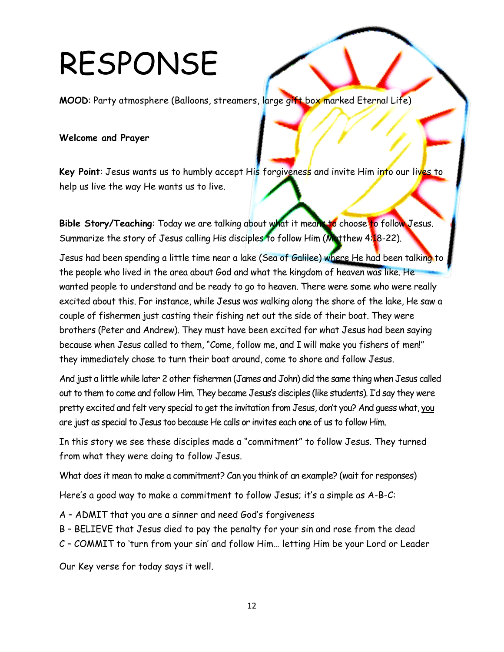## RESPONSE

**MOOD**: Party atmosphere (Balloons, streamers, large gift box marked Eternal Life)

### **Welcome and Prayer**

Key Point: Jesus wants us to humbly accept His forgiveness and invite Him into our lives to help us live the way He wants us to live.

Bible Story/Teaching: Today we are talking about what it means to choose to follow Jesus. Summarize the story of Jesus calling His disciples to follow Him ( $M_{\text{at}}$ thew 4:18-22).

Jesus had been spending a little time near a lake (Sea of Galilee) where He had been talking to the people who lived in the area about God and what the kingdom of heaven was like. He wanted people to understand and be ready to go to heaven. There were some who were really excited about this. For instance, while Jesus was walking along the shore of the lake, He saw a couple of fishermen just casting their fishing net out the side of their boat. They were brothers (Peter and Andrew). They must have been excited for what Jesus had been saying because when Jesus called to them, "Come, follow me, and I will make you fishers of men!" they immediately chose to turn their boat around, come to shore and follow Jesus.

And just a little while later 2 other fishermen (James and John) did the same thing when Jesus called out to them to come and follow Him. They became Jesus's disciples (like students). I'd say they were pretty excited and felt very special to get the invitation from Jesus, don't you? And guess what, you are just as special to Jesus too because He calls or invites each one of us to follow Him.

In this story we see these disciples made a "commitment" to follow Jesus. They turned from what they were doing to follow Jesus.

What does it mean to make a commitment? Can you think of an example? (wait for responses)

Here's a good way to make a commitment to follow Jesus; it's a simple as A-B-C:

A – ADMIT that you are a sinner and need God's forgiveness

- B BELIEVE that Jesus died to pay the penalty for your sin and rose from the dead
- C COMMIT to 'turn from your sin' and follow Him… letting Him be your Lord or Leader

Our Key verse for today says it well.